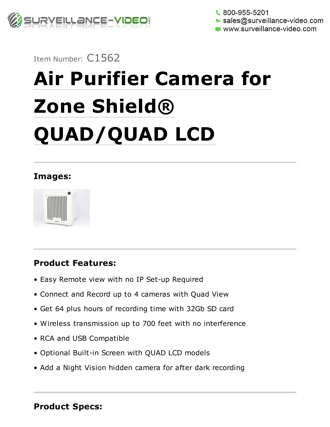

 $\frac{1}{2}$  800-955-5201  $\blacktriangleright$  sales@surveillance-video.com www.surveillance-video.com

## Item Number: C1562

# Air Purifier Camera for Zone Shield® QUAD/QUAD LCD

#### Images:



## Product Features:

- Easy Remote view with no IP Set-up Required
- Connect and Record up to 4 cameras with Quad View
- Get 64 plus hours of recording time with 32Gb SD card
- Wireless transmission up to 700 feet with no interference
- RCA and USB Compatible
- Optional Built-in Screen with QUAD LCD models
- Add a Night Vision hidden camera for after dark recording

#### Product Specs: